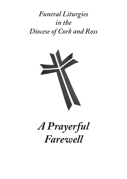# *Funeral Liturgies in the Diocese of Cork and Ross*



# *A Prayerful Farewell*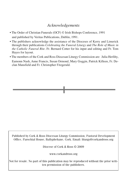# *Acknowledgements*

- The Order of Christian Funerals (OCF) © Irish Bishops Conference, 1991 and published by Veritas Publications, Dublin, 1991.
- The publishers acknowledge the assistance of the Dioceses of Kerry and Limerick through their publications *Celebrating the Funeral Liturgy* and *The Role of Music in the Catholic Funeral Rite*. Fr. Bernard Cotter for his input and editing and Fr. Tom Hayes for layout.
- The members of the Cork and Ross Diocesan Liturgy Commission are: Julia Herlihy, Eamonn Nash, Anne Francis, Susan Ormond, Mary Goggin, Patrick Killeen, Fr. Declan Mansfield and Fr. Christopher Fitzgerald.

Published by Cork & Ross Diocesan Liturgy Commission, Pastoral Development Office, Parochial House, Ballyphehane, Cork. Email: liturgy@corkandross.org

Diocese of Cork & Ross © 2009

www.corkandross.org

Not for resale. No part of this publication may be reproduced without the prior written permission of the publishers.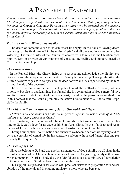# A PRAYERFUL FAREWELL

*This document seeks to explore the riches and diversity available to us as we celebrate Christian funerals; pastoral concerns are at its heart. It is hoped that by reflecting and acting upon the* ORDER OF CHRISTIAN FUNERALS*, our liturgy will be enriched and the pastoral services available in parishes enhanced. In this way, as we accompany families at the time of a death, they will receive the full benefit of the consolation and hope of Christ, ministered by the Church.*

#### *Pastoral Context: When someone dies*

The death of someone close to us can affect us deeply. In the days following death, preparing for the final farewell in the midst of grief and all our emotions can be very bewildering. The funeral rites of the Church, celebrated with family and the Christian community, seek to provide an environment of consolation, healing and support, based on Christian faith and hope.

#### *The Funeral Rites*

In the Funeral Rites, the Church helps us to respect and acknowledge the dignity, preciousness and the unique and sacred nature of every human being. Through the rites, the Church acknowledges with compassion the deep sorrow and loss experienced by the family and friends of the deceased.

The rites also remind us that we come together to mark the death of a Christian, not only in sorrow, but also in thanksgiving. The funeral rite is a celebration of God's merciful love and forgiveness, and of the life of the risen Christ, shared by the person who has died. It is in this context that the Church promotes the active involvement of all the faithful, especially the family.

#### *The Life, Death and Resurrection of Jesus: Our Faith and Hope*

*I believe in the communion of saints, the forgiveness of sins, the resurrection of the body and life everlasting* (APOSTLES CREED).

For Christians, the celebration of a funeral reminds us that we are not alone: we all belong to God. God's love for us gave us his Son, Jesus Christ. In the life, death and resurrection of Jesus, death has been overcome and transformed into eternal life.

Through our baptism, confirmation and eucharist we become part of this mystery and receive the promise of eternal life. In this context we celebrate the sacred funeral rites and particularly the Requiem Mass.

#### *The Family of God*

Since we belong to God and one another as members of God's family, we all share in the loss of a member of the Christian family and seek to support the grieving family in their loss. When a member of Christ's body dies, the faithful are called to a ministry of consolation to those who have suffered the loss of one whom they love.

This support is expressed in assistance with practical tasks; with preparation for and celebration of the funeral, and in ongoing ministry to those who are bereaved.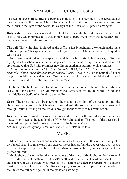# SYMBOLS THE CHURCH USES

**The Easter (paschal) candle**: The paschal candle is lit for the reception of the deceased into the church and at the Funeral Mass. Placed at the head of the coffin, the candle reminds us that Christ is the light of the world; it is a sign of the Risen Christ present among us.

**Holy water**: Blessed water is used in each of the rites in the funeral liturgy. Every time it is used, holy water reminds us of the saving waters of baptism, in which the deceased Christian was immersed at the start of life.

**The pall**: This white sheet is placed on the coffin as it is brought into the church on the night of the reception. This speaks of the special dignity of every Christian. We are all equal in God's eyes.

In baptism a white shawl is wrapped around the newly-baptised child as a sign of its new dignity as a Christian. When the pall is placed, that moment in baptism is recalled and all are reminded that God who promises new life in baptism is faithful to his promises.

According to the *Order of Christian Funerals* (OCF), *'only Christian symbols may rest or be placed near the coffin during the funeral liturgy'*(OCF #38). Other symbols, flags or insignia should be removed as the coffin enters the church. These are unfolded and replaced on the coffin as it leaves the church after the Mass.

**The bible**: The bible may be placed on the coffin on the night of the reception of the deceased into the church — a vivid reminder that Christians live by the word of God, and that fidelity to God's Word leads to eternal life.

**Cross**: The cross may also be placed on the coffin on the night of the reception into the church to remind us that the Christian is marked with the sign of the cross in baptism and through Jesus'suffering on the cross is brought to the victory of his resurrection.

**Incense**: Incense is used as a sign of honour and respect for the sacredness of the human body, which became the temple of the Holy Spirit in baptism. The body of the deceased is incensed during the final prayers at the end of the Funeral Mass.

*Let my prayer rise before you like incense, O Lord.* (Psalm 141:2).

## **MUSIC**

Music can touch our hearts and reach our very soul. Because of this, music is integral to the funeral rites. The music used can express words in a profoundly deeper way than we are capable of expressing through text alone. Music consoles, heals, gives courage and expresses our faith.

Music should always reflect the sacred nature of the liturgy. Music chosen for the funeral rites needs to reflect the themes of Christ's death and resurrection, Christian hope, the love and support of God especially at times of loss. There is an extensive repertoire of suitable music available. Music that is familiar to people, or songs that people have the words for, facilitates the full participation of the gathered assembly.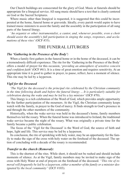Our Church buildings are consecrated for the glory of God. Music at funerals should be appropriate for a liturgical service. All sung music should have a text that is clearly centered on God or the Sacred Scriptures.

Where music other than liturgical is requested, it is suggested that this could be incorporated at the home, funeral home or graveside. Ideally, every parish would aspire to have trained music ministers to assist the family and the assembly in the participation of all sung parts of the funeral liturgy.

*'An organist or other instrumentalist, a cantor, and, whenever possible, even a choir should assist the assembly's full participation in singing the songs, responses, and acclamations of these rites'* (OCF #33).

## THE FUNERAL LITURGIES

#### *The 'Gathering in the Presence of the Body':*

When a family first gathers in the funeral home or in the home of the deceased, it can be a tremendously difficult experience. The rite for the 'Gathering in the Presence of the Body' offers a model of prayer for this occasion, '*providing an atmosphere of sensitive concern and confident faith*'(OCF #61). It is a time of great emotion and requires sensitivity. At an appropriate time it is good to gather in prayer, to pause, reflect, have a moment of silence. This rite may be led by a layperson.

#### *Vigil for the Deceased*

*'The Vigil for the deceased is the principal rite celebrated by the Christian community in the time following death and before the funeral liturgy ... It is particularly suitable for celebration during the wake and may be led by a lay minister'*(OCF #70).

This liturgy is a rich celebration of the Word of God, which provides ample opportunity for the further participation of the mourners. At the Vigil, the Christian community keeps watch with the family, in prayer to the God of mercy. It finds strength in God's presence in and through the other members of the community.

Historically, when the wake service was held in the deceased's home, family members themselves led the rosary. When the funeral home was introduced to Ireland, the traditional wake service became the night of the rosary. What was originally a private time for the family became a public celebration.

The focus of the 'Vigil for the Deceased' is the Word of God, the source of faith and hope, light and life. This service may be led by a layperson.

Its conclusion, the rite of sprinkling with holy water, may be an opportunity for the family to make the sign of the cross with holy water on the forehead of the deceased. The option of concluding with a decade of the rosary is recommended.

#### *Transfer to the church (Removal):*

This is the shortest of the rites. While short, it should not be rushed and should include moments of silence. As at the Vigil, family members may be invited to make sign of the cross with Holy Water at end of prayers on the forehead of the deceased. *"This rite of removal will frequently be led by a layperson, either a member of the family or a minister designated by the local community"* (OCF #103).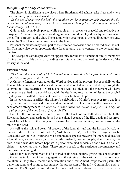#### *Reception of the body at the church:*

The church is significant as the place where Baptism and Eucharist take place and where the community gathers and worships.

*'In the act of receiving the body the members of the community acknowledge the deceased as one of their own, as one who was welcomed in baptism and who held a place in the assembly'* (OCF #116).

Quiet music, sensitively played while people arrive, creates a peaceful and reflective atmosphere. A prelude and processional organ music could be played or a hymn sung while the coffin is brought to the altar. The psalm, which accompanies the reading, may be sung, as can the 'Lord have mercy' response to the litany.

Personal mementos may form part of the entrance procession and be placed near the coffin. This may also be an opportune time for a eulogy, to give context to the personal mementos.

The Reception Service provides an opportunity for the involvement of family members: placing the pall, bible and cross, reading a scripture reading and leading the decade of the Rosary at the end.

#### *Funeral Mass:*

*'The Mass, the memorial of Christ's death and resurrection is the principal celebration of the Christian funeral* (OCF #5)

A Catholic funeral is centred on the Word of God and the prayers, but especially on the Funeral Mass, in which the deceased is commended to God and interceded for, through the celebration of the sacrifice of Christ. The one who has died, and the mourners who have gathered, are united in a special way with the death and resurrection of Jesus, the paschal mystery, as it is called, which is at the core of our faith and hope.

In the eucharistic sacrifice, the Church's celebration of Christ's passover from death to life, the faith of the baptised in renewed and nourished. Their union with Christ and with each other is strengthened: *'Because there is one bread, we who are many, are one body, for we all partake of the one bread'* (1 Cor. 10:17).

Belief in the communion of saints is one of the tenets of our faith. As we celebrate the Eucharist, heaven and earth are joined at the altar. Because of the life, death and resurrection of Jesus Christ, all the living and deceased form one communion, one body around the table of the Lord.

As well as the rich and beautiful prayers of the funeral ritual and the Roman Missal, attention is drawn to Part III of the OCF, 'Additional Texts', p178 ff. These prayers may be used at the various rites or funeral Mass and include special prayers: for one who died after a long illness, a young person, a parent, a wife, husband, married couple, elderly person, suicide, a child who dies before baptism, a person who died suddenly or as a result of an accident — as well as many others. These prayers speak to the particular circumstance and their use is encouraged.

Music for the Funeral Mass is of a sacred or liturgical nature, giving due consideration to the active inclusion of the congregation in the singing of the various acclamations, (i.e. the alleluia, Holy Holy, memorial acclamation and Great Amen), responsorial psalm, the gathering song, and songs to accompany the procession of the gifts, Communion and recessional. The Song of Farewell during the prayers of commendation can prove particularly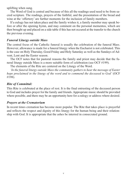uplifting when sung.

The Word of God is central and because of this all the readings used need to be from sacred scripture. The readings, prayers of the faithful, and the presentation of the bread and wine at the 'offertory' are further moments for the inclusion of family members.

If a eulogy has not taken place and the family wishes it, a family member may speak before or after the opening hymn, and may comment on the personal mementos, which are then brought up and placed on a side table if this has not occured at the transfer to the church the previous evening.

#### *Funeral Liturgy outside Mass*

The central focus of the Catholic funeral is usually the celebration of the funeral Mass. However, allowance is made for a funeral liturgy when the Eucharist is not celebrated. This is the case on Holy Thursday, Good Friday and Holy Saturday as well as the Sundays of Advent, Lent and the Easter season.

The OCF notes that for pastoral reasons the family and priest may decide that the funeral liturgy outside Mass is a more suitable form of celebration (see OCF #199).

The elements of the Rite are centered on the Liturgy of the Word.

*'In the funeral liturgy outside Mass the community gathers to hear the message of Easter hope proclaimed in the liturgy of the word and to commend the deceased to God'* (OCF #198).

#### *Rite of Committal:*

This Rite is celebrated at the place of rest. It is the final entrusting of the deceased person to God and includes prayer for the family and friends. Appropriate music should be provided where possible, and there may be an opportunity here for a eulogy or address where desired.

#### *Prayers at the Crematorium*

In recent times cremation has become more popular. The Rite that takes place is prayerful and reflects the respect and dignity of this liturgy for the human being and their relationship with God. It is appropriate that the ashes be interred in consecrated ground.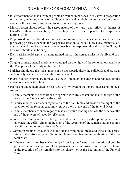# SUMMARY OF RECOMMENDATIONS

- It is recommended that a team of people be trained in parishes to assist with preparation of the rites, including choice of readings, music and symbols, and organisation of ministers for the various liturgies and to assist in leading prayer.
- Music chosen should reflect the sacred nature of the liturgy and reflect the themes of Christ's death and resurrection, Christian hope, the love and support of God especially at times of loss.
- Emphasis should be placed on congregational singing, with the acclamations of the people having priority especially the gospel acclamation (alleluia), Holy Holy, memorial acclamation and the Great Amen. Where possible the responsorial psalm and the Song of Farewell should also be sung.
- Each parish should aspire to having trained music ministers to assist the family and people to sing.
- Singing or instrumental music is encouraged on the night of the removal, especially at the Reception of the Body in the church.
- Parishes should use the rich symbols of the rites, particularly the pall, bible and cross, as well as holy water, incense and the paschal candle.
- Flags or other insignia are removed as the coffin enters the church and replaced on the coffin as it leaves the church.
- People should be facilitated to be as actively involved in the funeral rites as possible, as follows:
	- 1. Family members are encouraged to sprinkle with Holy Water and make the sign of the cross on the forehead of the deceased.
	- 2. Family members are encouraged to place the pall, bible and cross on the night of the reception of the remains (and may remove them at the end of the funeral Mass).
	- 3. Family members are encouraged to read a scripture reading and lead the decade at the end of the prayers of reception (Removal).
	- 4. Where the family wishes to bring mementos, these are brought up and placed on a table near the coffin, either on the night of the reception of the remains into the church or at the beginning of the funeral Mass.
	- 5. Scripture readings, prayer of the faithful and bringing of bread and wine at the preparation of the gifts are ways of involving family members in the celebration of the Funeral Mass.
	- 6. Where a family member wishes to speak during the funeral, consideration should be given to the various options: at the graveside, at the removal from the funeral home or the reception of the remains into the church, or at the beginning of the Funeral Mass.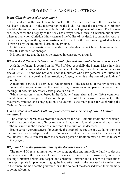### FREQUENTLY ASKED QUESTIONS

#### *Is the Church opposed to cremation?*

No, but it was in the past. One of the tenets of the Christian Creed since the earliest times has been 'I believe...in the resurrection of the body', i.e. that the resurrected Christian would at the end of time be reunited body and soul in the happiness of heaven. For this reason, respect for the integrity of the body has always been shown in Christian burial rites, whereas many non-Christian faiths cremated the bodies of the dead. So, cremation was regarded as being something non-Christian, and respect for the body was regarded as being shown best by the traditional burial in the ground.

Until recent times cremation was specifically forbidden by the Church. In more modern times, this attitude has changed.

It is appropriate that the ashes be interred in consecrated ground.

#### *What is the difference between the Catholic funeral rites and a 'memorial service?'*

A Catholic funeral is centred on the Word of God, especially the Funeral Mass, in which the deceased is commended to God and interceded for through the celebration of the sacrifice of Christ. The one who has died, and the mourners who have gathered, are united in a special way with the death and resurrection of Jesus, which is at the core of our faith and of our hope.

A memorial service is a service of remembrance of the deceased. It mainly consists of tributes and eulogies centred on the dead person, sometimes accompanied by prayers and readings. It does not necessarily take place in a church.

While the person is remembered in the Catholic funeral rites and their life is commemorated, there is a stronger emphasis on the presence of Christ in word, sacrament, in the mourners, minister and congregation. The church is the main place for celebrating the Catholic funeral rite.

#### *Is it possible to celebrate Catholic funeral rites for members of other Christian traditions?*

The Catholic Church has a profound respect for the non-Catholic traditions of worship. For this reason, it does not offer or recommend a Catholic funeral for one who was not a Catholic, except in the absence of a minister of the faith of the deceased.

But in certain circumstances, for example the death of the spouse of a Catholic, some of the liturgies may be adapted and used if requested, but perhaps without the celebration of the Funeral Mass. A minister from the deceased person's tradition may be invited to share in the prayers.

#### *Why can't I use the favourite song of the deceased person?*

The funeral Mass is an invitation to the congregation and immediate family to deepen their awareness of the presence of the risen Jesus with them in their sorrow. Only music reflecting Christian beliefs can deepen and celebrate Christian faith. There are other times more appropriate for playing or singing the favourite music of the deceased – it can be done in the funeral home or at the graveside, or in the home of the deceased when their memory is being celebrated.